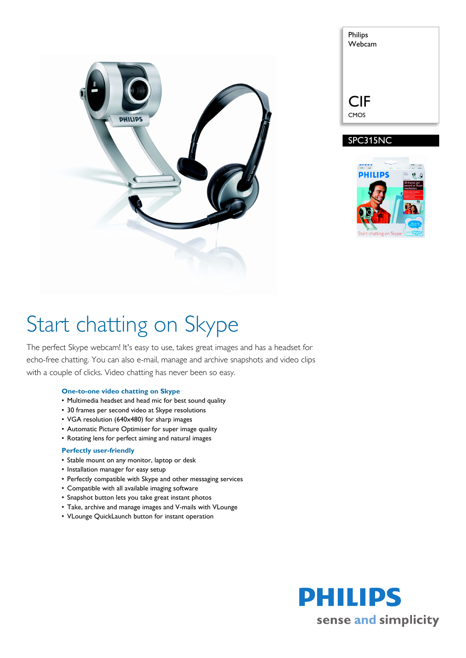

| Philips<br>Webcam |  |
|-------------------|--|
|                   |  |
|                   |  |
|                   |  |
|                   |  |
| <b>CIF</b>        |  |





# Start chatting on Skype

The perfect Skype webcam! It's easy to use, takes great images and has a headset for echo-free chatting. You can also e-mail, manage and archive snapshots and video clips with a couple of clicks. Video chatting has never been so easy.

### **One-to-one video chatting on Skype**

- Multimedia headset and head mic for best sound quality
- 30 frames per second video at Skype resolutions
- VGA resolution (640x480) for sharp images
- Automatic Picture Optimiser for super image quality
- Rotating lens for perfect aiming and natural images

### **Perfectly user-friendly**

- Stable mount on any monitor, laptop or desk
- Installation manager for easy setup
- Perfectly compatible with Skype and other messaging services
- Compatible with all available imaging software
- Snapshot button lets you take great instant photos
- Take, archive and manage images and V-mails with VLounge
- VLounge QuickLaunch button for instant operation